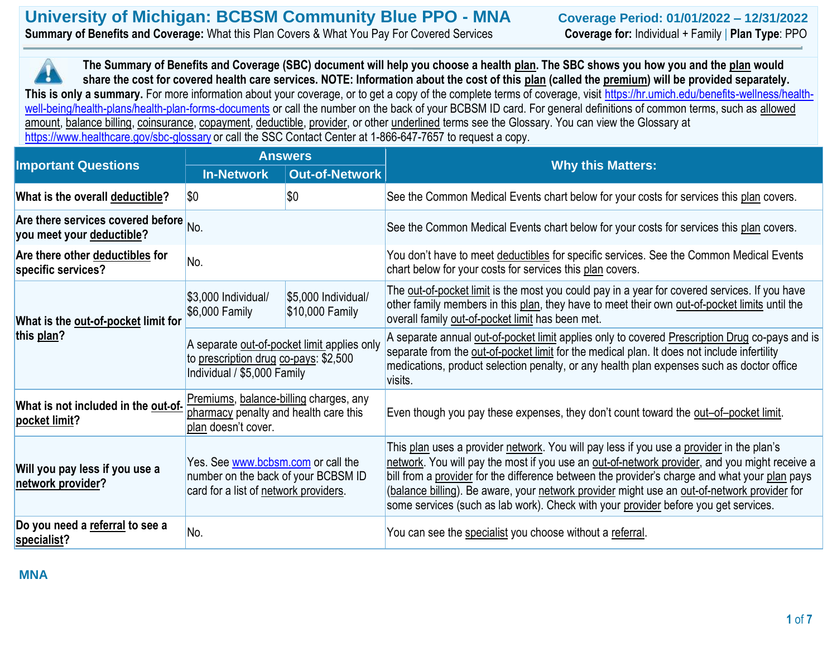| University of Michigan: BCBSM Community Blue PPO - MNA                                             | Coverage Period: 01/01/2022 - 12/31/2022                  |
|----------------------------------------------------------------------------------------------------|-----------------------------------------------------------|
| <b>Summary of Benefits and Coverage:</b> What this Plan Covers & What You Pay For Covered Services | <b>Coverage for: Individual + Family   Plan Type: PPO</b> |

**This is only a summary.** For more information about your coverage, or to get a copy of the complete terms of coverage, visit https://hr.umich.edu/benefits-wellness/health-<br>This is only a summary. For more information abou **The Summary of Benefits and Coverage (SBC) document will help you choose a health plan. The SBC shows you how you and the plan would share the cost for covered health care services. NOTE: Information about the cost of this plan (called the premium) will be provided separately.**  [well-being/health-plans/health-plan-forms-documents](https://hr.umich.edu/benefits-wellness/health-well-being/health-plans/health-plan-forms-documents) or call the number on the back of your BCBSM ID card. For general definitions of common terms, such as allowed amount, balance billing, coinsurance, copayment, deductible, provider, or other underlined terms see the Glossary. You can view the Glossary at <https://www.healthcare.gov/sbc-glossary> or call the SSC Contact Center at 1-866-647-7657 to request a copy.

| <b>Important Questions</b>                                                      | <b>Answers</b>                                                                                                      |                                        | <b>Why this Matters:</b>                                                                                                                                                                                                                                                                                                                                                                                                                                                         |  |
|---------------------------------------------------------------------------------|---------------------------------------------------------------------------------------------------------------------|----------------------------------------|----------------------------------------------------------------------------------------------------------------------------------------------------------------------------------------------------------------------------------------------------------------------------------------------------------------------------------------------------------------------------------------------------------------------------------------------------------------------------------|--|
|                                                                                 | <b>In-Network</b>                                                                                                   | <b>Out-of-Network</b>                  |                                                                                                                                                                                                                                                                                                                                                                                                                                                                                  |  |
| What is the overall deductible?                                                 | $ \$0$                                                                                                              | \$0                                    | See the Common Medical Events chart below for your costs for services this plan covers.                                                                                                                                                                                                                                                                                                                                                                                          |  |
| Are there services covered before $_{\text{No}}$ .<br>you meet your deductible? |                                                                                                                     |                                        | See the Common Medical Events chart below for your costs for services this plan covers.                                                                                                                                                                                                                                                                                                                                                                                          |  |
| Are there other deductibles for<br>specific services?                           | No.                                                                                                                 |                                        | You don't have to meet deductibles for specific services. See the Common Medical Events<br>chart below for your costs for services this plan covers.                                                                                                                                                                                                                                                                                                                             |  |
| What is the out-of-pocket limit for                                             | \$3,000 Individual/<br>\$6,000 Family                                                                               | \$5,000 Individual/<br>\$10,000 Family | The out-of-pocket limit is the most you could pay in a year for covered services. If you have<br>other family members in this plan, they have to meet their own out-of-pocket limits until the<br>overall family out-of-pocket limit has been met.                                                                                                                                                                                                                               |  |
| this plan?                                                                      | A separate out-of-pocket limit applies only<br>to prescription drug co-pays: \$2,500<br>Individual / \$5,000 Family |                                        | A separate annual out-of-pocket limit applies only to covered Prescription Drug co-pays and is<br>separate from the out-of-pocket limit for the medical plan. It does not include infertility<br>medications, product selection penalty, or any health plan expenses such as doctor office<br>visits.                                                                                                                                                                            |  |
| What is not included in the out-of-<br>pocket limit?                            | Premiums, balance-billing charges, any<br>pharmacy penalty and health care this<br>plan doesn't cover.              |                                        | Even though you pay these expenses, they don't count toward the out-of-pocket limit.                                                                                                                                                                                                                                                                                                                                                                                             |  |
| Will you pay less if you use a<br>network provider?                             | Yes. See www.bcbsm.com or call the<br>number on the back of your BCBSM ID<br>card for a list of network providers.  |                                        | This plan uses a provider network. You will pay less if you use a provider in the plan's<br>network. You will pay the most if you use an out-of-network provider, and you might receive a<br>bill from a provider for the difference between the provider's charge and what your plan pays<br>(balance billing). Be aware, your network provider might use an out-of-network provider for<br>some services (such as lab work). Check with your provider before you get services. |  |
| Do you need a referral to see a<br>specialist?                                  | No.                                                                                                                 |                                        | You can see the specialist you choose without a referral.                                                                                                                                                                                                                                                                                                                                                                                                                        |  |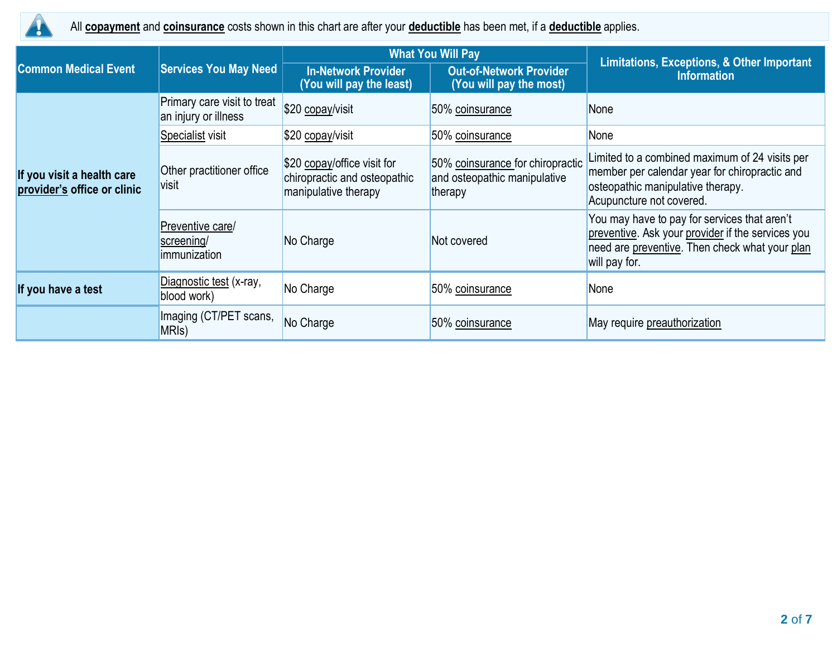

All **copayment** and **coinsurance** costs shown in this chart are after your **deductible** has been met, if a **deductible** applies.

|                                                           |                                                     |                                                                                     | <b>What You Will Pay</b>                                                    | Limitations, Exceptions, & Other Important                                                                                                                           |  |
|-----------------------------------------------------------|-----------------------------------------------------|-------------------------------------------------------------------------------------|-----------------------------------------------------------------------------|----------------------------------------------------------------------------------------------------------------------------------------------------------------------|--|
| <b>Common Medical Event</b>                               | <b>Services You May Need</b>                        | <b>In-Network Provider</b><br>(You will pay the least)                              | <b>Out-of-Network Provider</b><br>(You will pay the most)                   | <b>Information</b>                                                                                                                                                   |  |
|                                                           | Primary care visit to treat<br>an injury or illness | \$20 copay/visit                                                                    | 50% coinsurance                                                             | None                                                                                                                                                                 |  |
|                                                           | Specialist visit                                    | \$20 copay/visit                                                                    | 50% coinsurance                                                             | None                                                                                                                                                                 |  |
| If you visit a health care<br>provider's office or clinic | Other practitioner office<br>visit                  | \$20 copay/office visit for<br>chiropractic and osteopathic<br>manipulative therapy | 50% coinsurance for chiropractic<br>and osteopathic manipulative<br>therapy | Limited to a combined maximum of 24 visits per<br>member per calendar year for chiropractic and<br>osteopathic manipulative therapy.<br>Acupuncture not covered.     |  |
|                                                           | Preventive care/<br>screening/<br>immunization      | No Charge                                                                           | Not covered                                                                 | You may have to pay for services that aren't<br>preventive. Ask your provider if the services you<br>need are preventive. Then check what your plan<br>will pay for. |  |
| If you have a test                                        | Diagnostic test (x-ray,<br>blood work)              | No Charge                                                                           | 50% coinsurance                                                             | None                                                                                                                                                                 |  |
|                                                           | Imaging (CT/PET scans,<br>MRI <sub>s</sub> )        | No Charge                                                                           | 50% coinsurance                                                             | May require preauthorization                                                                                                                                         |  |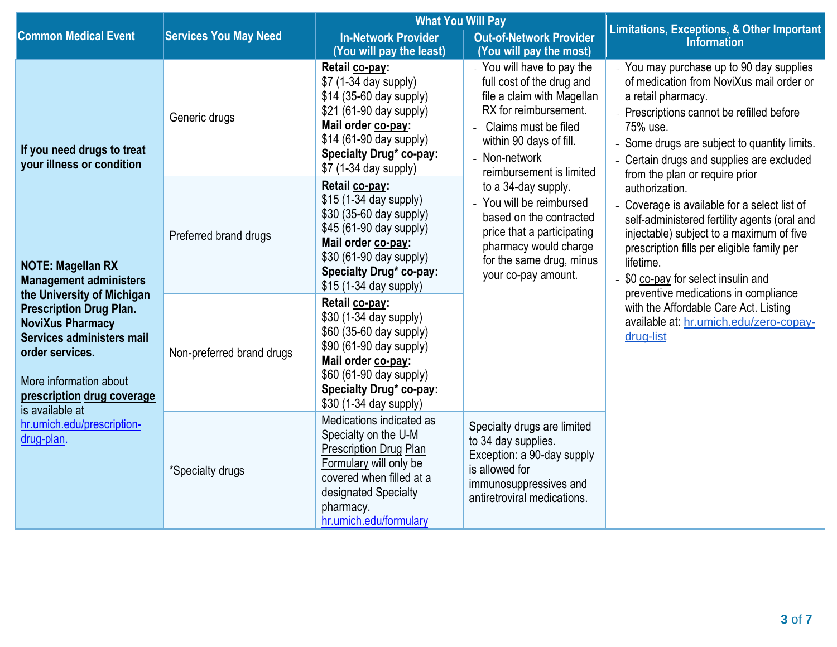|                                                                                                                                                                                                                                                                                                                                            |                              | <b>What You Will Pay</b>                                                                                                                                                                                    |                                                                                                                                                                                                                                                                                                                                                                                                        | <b>Limitations, Exceptions, &amp; Other Important</b>                                                                                                                                                                                                                                                |  |
|--------------------------------------------------------------------------------------------------------------------------------------------------------------------------------------------------------------------------------------------------------------------------------------------------------------------------------------------|------------------------------|-------------------------------------------------------------------------------------------------------------------------------------------------------------------------------------------------------------|--------------------------------------------------------------------------------------------------------------------------------------------------------------------------------------------------------------------------------------------------------------------------------------------------------------------------------------------------------------------------------------------------------|------------------------------------------------------------------------------------------------------------------------------------------------------------------------------------------------------------------------------------------------------------------------------------------------------|--|
| <b>Common Medical Event</b>                                                                                                                                                                                                                                                                                                                | <b>Services You May Need</b> | <b>In-Network Provider</b><br>(You will pay the least)                                                                                                                                                      | <b>Out-of-Network Provider</b><br>(You will pay the most)                                                                                                                                                                                                                                                                                                                                              | <b>Information</b>                                                                                                                                                                                                                                                                                   |  |
| If you need drugs to treat<br>your illness or condition<br><b>NOTE: Magellan RX</b><br><b>Management administers</b><br>the University of Michigan<br><b>Prescription Drug Plan.</b><br><b>NoviXus Pharmacy</b><br>Services administers mail<br>order services.<br>More information about<br>prescription drug coverage<br>is available at | Generic drugs                | Retail co-pay:<br>\$7 (1-34 day supply)<br>$$14$ (35-60 day supply)<br>\$21 (61-90 day supply)<br>Mail order co-pay:<br>\$14 (61-90 day supply)<br>Specialty Drug* co-pay:<br>\$7 (1-34 day supply)         | - You will have to pay the<br>full cost of the drug and<br>file a claim with Magellan<br>RX for reimbursement.<br>Claims must be filed<br>within 90 days of fill.<br>- Non-network<br>reimbursement is limited<br>to a 34-day supply.<br>- You will be reimbursed<br>based on the contracted<br>price that a participating<br>pharmacy would charge<br>for the same drug, minus<br>your co-pay amount. | - You may purchase up to 90 day supplies<br>of medication from NoviXus mail order or<br>a retail pharmacy.<br>- Prescriptions cannot be refilled before<br>75% use.<br>- Some drugs are subject to quantity limits.<br>Certain drugs and supplies are excluded<br>from the plan or require prior     |  |
|                                                                                                                                                                                                                                                                                                                                            | Preferred brand drugs        | Retail co-pay:<br>\$15 (1-34 day supply)<br>\$30 (35-60 day supply)<br>\$45 (61-90 day supply)<br>Mail order co-pay:<br>\$30 (61-90 day supply)<br>Specialty Drug* co-pay:<br>\$15 (1-34 day supply)        |                                                                                                                                                                                                                                                                                                                                                                                                        | authorization.<br>- Coverage is available for a select list of<br>self-administered fertility agents (oral and<br>injectable) subject to a maximum of five<br>prescription fills per eligible family per<br>lifetime.<br>- \$0 co-pay for select insulin and<br>preventive medications in compliance |  |
|                                                                                                                                                                                                                                                                                                                                            | Non-preferred brand drugs    | Retail co-pay:<br>\$30 (1-34 day supply)<br>\$60 (35-60 day supply)<br>\$90 (61-90 day supply)<br>Mail order co-pay:<br>\$60 (61-90 day supply)<br><b>Specialty Drug* co-pay:</b><br>\$30 (1-34 day supply) |                                                                                                                                                                                                                                                                                                                                                                                                        | with the Affordable Care Act. Listing<br>available at: hr.umich.edu/zero-copay-<br>drug-list                                                                                                                                                                                                         |  |
| hr.umich.edu/prescription-<br>drug-plan.                                                                                                                                                                                                                                                                                                   | *Specialty drugs             | Medications indicated as<br>Specialty on the U-M<br><b>Prescription Drug Plan</b><br>Formulary will only be<br>covered when filled at a<br>designated Specialty<br>pharmacy.<br>hr.umich.edu/formulary      | Specialty drugs are limited<br>to 34 day supplies.<br>Exception: a 90-day supply<br>is allowed for<br>immunosuppressives and<br>antiretroviral medications.                                                                                                                                                                                                                                            |                                                                                                                                                                                                                                                                                                      |  |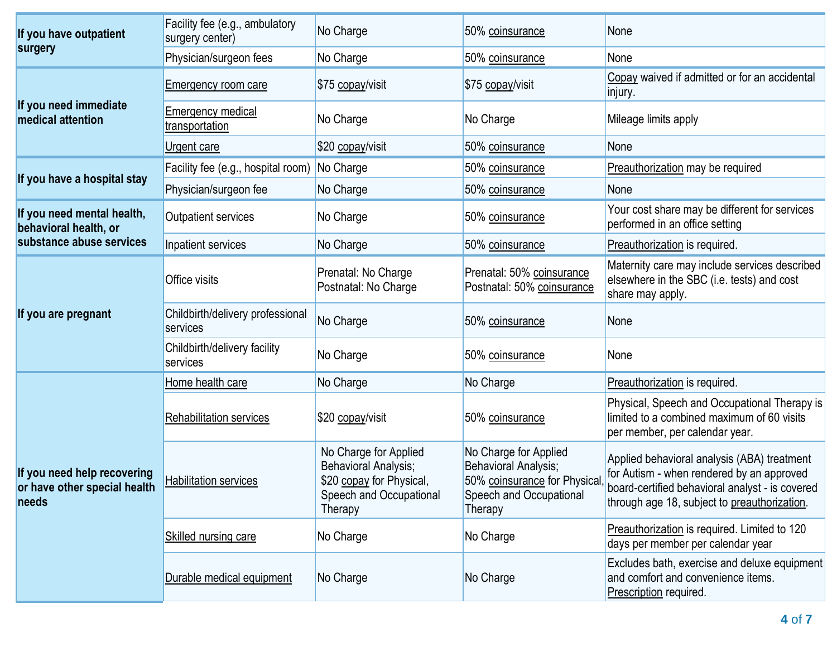| If you have outpatient                                               | Facility fee (e.g., ambulatory<br>surgery center) | No Charge                                                                                                              | 50% coinsurance                                                                                                     | None                                                                                                                                                                                        |
|----------------------------------------------------------------------|---------------------------------------------------|------------------------------------------------------------------------------------------------------------------------|---------------------------------------------------------------------------------------------------------------------|---------------------------------------------------------------------------------------------------------------------------------------------------------------------------------------------|
| surgery                                                              | Physician/surgeon fees                            | No Charge                                                                                                              | 50% coinsurance                                                                                                     | None                                                                                                                                                                                        |
|                                                                      | <b>Emergency room care</b>                        | \$75 copay/visit                                                                                                       | \$75 copay/visit                                                                                                    | Copay waived if admitted or for an accidental<br>injury.                                                                                                                                    |
| If you need immediate<br>medical attention                           | Emergency medical<br>transportation               | No Charge                                                                                                              | No Charge                                                                                                           | Mileage limits apply                                                                                                                                                                        |
|                                                                      | Urgent care                                       | \$20 copay/visit                                                                                                       | 50% coinsurance                                                                                                     | None                                                                                                                                                                                        |
|                                                                      | Facility fee (e.g., hospital room)                | No Charge                                                                                                              | 50% coinsurance                                                                                                     | Preauthorization may be required                                                                                                                                                            |
| If you have a hospital stay                                          | Physician/surgeon fee                             | No Charge                                                                                                              | 50% coinsurance                                                                                                     | None                                                                                                                                                                                        |
| If you need mental health,<br>behavioral health, or                  | <b>Outpatient services</b>                        | No Charge                                                                                                              | 50% coinsurance                                                                                                     | Your cost share may be different for services<br>performed in an office setting                                                                                                             |
| substance abuse services                                             | Inpatient services                                | No Charge                                                                                                              | 50% coinsurance                                                                                                     | Preauthorization is required.                                                                                                                                                               |
|                                                                      | Office visits                                     | Prenatal: No Charge<br>Postnatal: No Charge                                                                            | Prenatal: 50% coinsurance<br>Postnatal: 50% coinsurance                                                             | Maternity care may include services described<br>elsewhere in the SBC (i.e. tests) and cost<br>share may apply.                                                                             |
| If you are pregnant                                                  | Childbirth/delivery professional<br>services      | No Charge                                                                                                              | 50% coinsurance                                                                                                     | None                                                                                                                                                                                        |
|                                                                      | Childbirth/delivery facility<br>services          | No Charge                                                                                                              | 50% coinsurance                                                                                                     | None                                                                                                                                                                                        |
|                                                                      | Home health care                                  | No Charge                                                                                                              | No Charge                                                                                                           | Preauthorization is required.                                                                                                                                                               |
|                                                                      | Rehabilitation services                           | \$20 copay/visit                                                                                                       | 50% coinsurance                                                                                                     | Physical, Speech and Occupational Therapy is<br>limited to a combined maximum of 60 visits<br>per member, per calendar year.                                                                |
| If you need help recovering<br>or have other special health<br>needs | <b>Habilitation services</b>                      | No Charge for Applied<br><b>Behavioral Analysis;</b><br>\$20 copay for Physical,<br>Speech and Occupational<br>Therapy | No Charge for Applied<br>Behavioral Analysis;<br>50% coinsurance for Physical<br>Speech and Occupational<br>Therapy | Applied behavioral analysis (ABA) treatment<br>for Autism - when rendered by an approved<br>board-certified behavioral analyst - is covered<br>through age 18, subject to preauthorization. |
|                                                                      | Skilled nursing care                              | No Charge                                                                                                              | No Charge                                                                                                           | Preauthorization is required. Limited to 120<br>days per member per calendar year                                                                                                           |
|                                                                      | Durable medical equipment                         | No Charge                                                                                                              | No Charge                                                                                                           | Excludes bath, exercise and deluxe equipment<br>and comfort and convenience items.<br>Prescription required.                                                                                |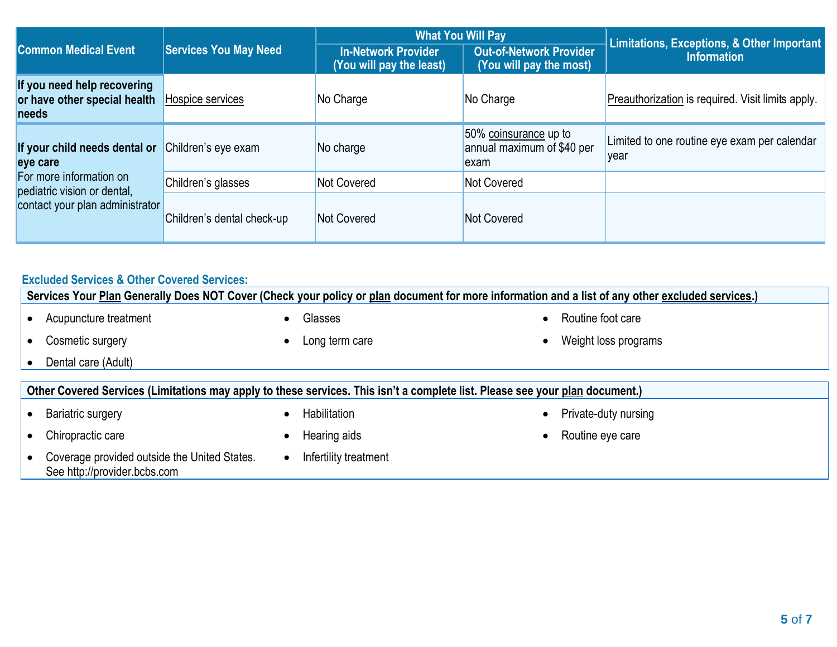|                                                                      |                              | <b>What You Will Pay</b>                               |                                                             | Limitations, Exceptions, & Other Important           |
|----------------------------------------------------------------------|------------------------------|--------------------------------------------------------|-------------------------------------------------------------|------------------------------------------------------|
| <b>Common Medical Event</b>                                          | <b>Services You May Need</b> | <b>In-Network Provider</b><br>(You will pay the least) | <b>Out-of-Network Provider</b><br>(You will pay the most)   | <b>Information</b>                                   |
| If you need help recovering<br>or have other special health<br>needs | Hospice services             | No Charge                                              | No Charge                                                   | Preauthorization is required. Visit limits apply.    |
| If your child needs dental or<br>eye care                            | Children's eye exam          | No charge                                              | 50% coinsurance up to<br>annual maximum of \$40 per<br>exam | Limited to one routine eye exam per calendar<br>vear |
| For more information on<br>pediatric vision or dental,               | Children's glasses           | Not Covered                                            | Not Covered                                                 |                                                      |
| contact your plan administrator                                      | Children's dental check-up   | Not Covered                                            | Not Covered                                                 |                                                      |

# **Excluded Services & Other Covered Services:**

|                                                                                                                              |           | Services Your Plan Generally Does NOT Cover (Check your policy or plan document for more information and a list of any other excluded services.) |  |                      |
|------------------------------------------------------------------------------------------------------------------------------|-----------|--------------------------------------------------------------------------------------------------------------------------------------------------|--|----------------------|
| Acupuncture treatment                                                                                                        |           | Glasses                                                                                                                                          |  | Routine foot care    |
| Cosmetic surgery                                                                                                             | $\bullet$ | Long term care                                                                                                                                   |  | Weight loss programs |
| Dental care (Adult)                                                                                                          |           |                                                                                                                                                  |  |                      |
| Other Covered Services (Limitations may apply to these services. This isn't a complete list. Please see your plan document.) |           |                                                                                                                                                  |  |                      |
| <b>Bariatric surgery</b>                                                                                                     | $\bullet$ | Habilitation                                                                                                                                     |  | Private-duty nursing |
|                                                                                                                              |           |                                                                                                                                                  |  |                      |
|                                                                                                                              |           |                                                                                                                                                  |  |                      |
| Chiropractic care                                                                                                            | $\bullet$ | Hearing aids                                                                                                                                     |  | Routine eye care     |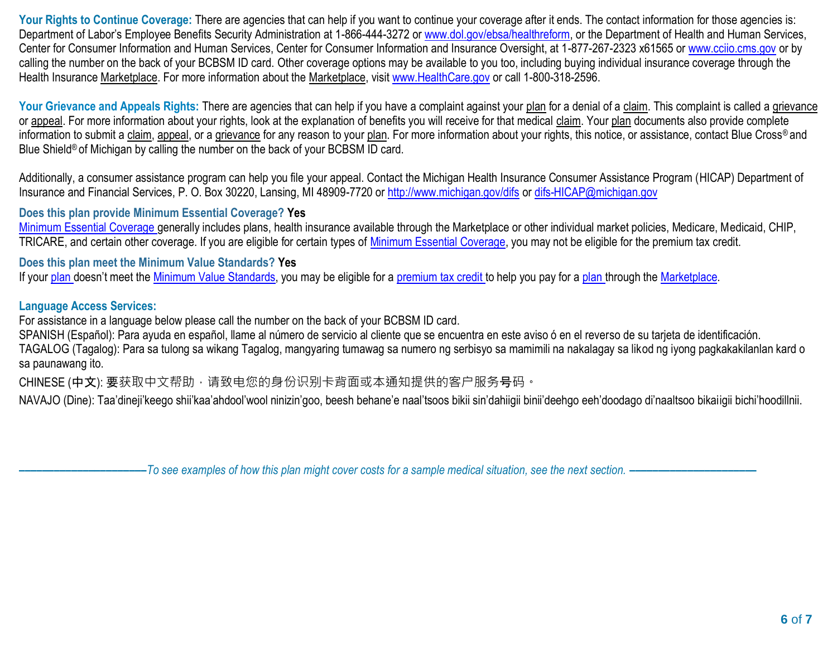Your Rights to Continue Coverage: There are agencies that can help if you want to continue your coverage after it ends. The contact information for those agencies is: Department of Labor's Employee Benefits Security Administration at 1-866-444-3272 o[r www.dol.gov/ebsa/healthreform,](http://www.dol.gov/ebsa/healthreform) or the Department of Health and Human Services, Center for Consumer Information and Human Services, Center for Consumer Information and Insurance Oversight, at 1-877-267-2323 x61565 or [www.cciio.cms.gov](http://www.cciio.cms.gov/) or by calling the number on the back of your BCBSM ID card. Other coverage options may be available to you too, including buying individual insurance coverage through the Health Insurance Marketplace. For more information about the Marketplace, visit [www.HealthCare.gov](http://www.healthcare.gov/) or call 1-800-318-2596.

Your Grievance and Appeals Rights: There are agencies that can help if you have a complaint against your plan for a denial of a claim. This complaint is called a grievance or appeal. For more information about your rights, look at the explanation of benefits you will receive for that medical claim. Your plan documents also provide complete information to submit a claim, appeal, or a grievance for any reason to your plan. For more information about your rights, this notice, or assistance, contact Blue Cross® and Blue Shield<sup>®</sup> of Michigan by calling the number on the back of your BCBSM ID card.

Additionally, a consumer assistance program can help you file your appeal. Contact the Michigan Health Insurance Consumer Assistance Program (HICAP) Department of Insurance and Financial Services, P. O. Box 30220, Lansing, MI 48909-7720 o[r http://www.michigan.gov/difs](http://www.michigan.gov/difs) o[r difs-HICAP@michigan.gov](mailto:difs-HICAP@michigan.gov)

## **Does this plan provide Minimum Essential Coverage? Yes**

[Minimum Essential Coverage g](https://www.healthcare.gov/sbc-glossary/#minimum-essential-coverage)enerally includes plans, health insurance available through the Marketplace or other individual market policies, Medicare, Medicaid, CHIP, TRICARE, and certain other coverage. If you are eligible for certain types of [Minimum Essential Coverage,](https://www.healthcare.gov/sbc-glossary/#minimum-essential-coverage) you may not be eligible for the premium tax credit.

## **Does this plan meet the Minimum Value Standards? Yes**

If your [plan](https://www.healthcare.gov/sbc-glossary/#plan) doesn't meet the [Minimum Value Standards,](https://www.healthcare.gov/sbc-glossary/#minimum-value-standard) you may be eligible for a [premium tax credit t](https://www.healthcare.gov/sbc-glossary/#premium-tax-credits)o help you pay for a [plan t](https://www.healthcare.gov/sbc-glossary/#plan)hrough th[e Marketplace.](https://www.healthcare.gov/sbc-glossary/#marketplace)

### **Language Access Services:**

For assistance in a language below please call the number on the back of your BCBSM ID card.

SPANISH (Español): Para ayuda en español, llame al número de servicio al cliente que se encuentra en este aviso ó en el reverso de su tarjeta de identificación.

TAGALOG (Tagalog): Para sa tulong sa wikang Tagalog, mangyaring tumawag sa numero ng serbisyo sa mamimili na nakalagay sa likod ng iyong pagkakakilanlan kard o sa paunawang ito.

CHINESE (中文): 要获取中文帮助, 请致电您的身份识别卡背面或本通知提供的客户服务号码。

NAVAJO (Dine): Taa'dineji'keego shii'kaa'ahdool'wool ninizin'goo, beesh behane'e naal'tsoos bikii sin'dahiigii binii'deehgo eeh'doodago di'naaltsoo bikaiigii bichi'hoodillnii.

**––––––––––––––––––––––***To see examples of how this plan might cover costs for a sample medical situation, see the next section. –––––––––––***–––––––––––**